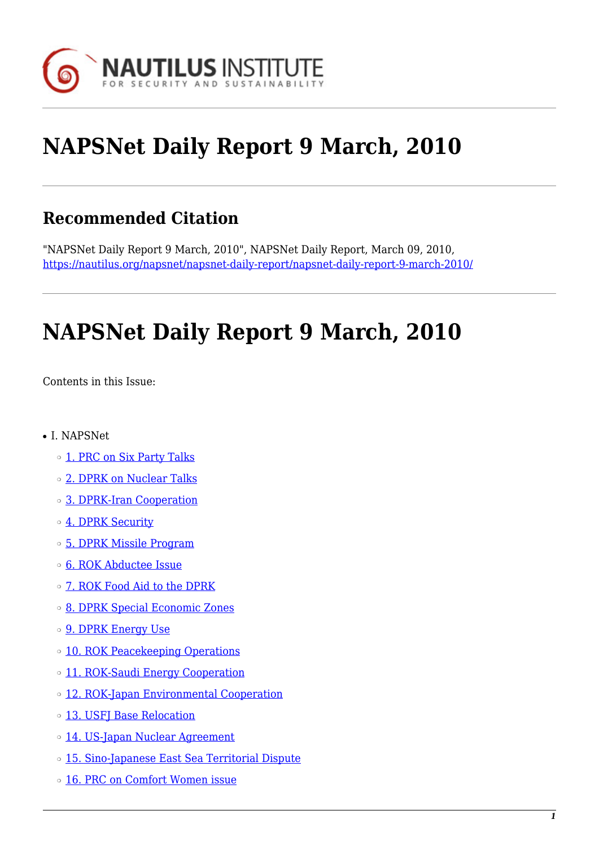

# **NAPSNet Daily Report 9 March, 2010**

### **Recommended Citation**

"NAPSNet Daily Report 9 March, 2010", NAPSNet Daily Report, March 09, 2010, <https://nautilus.org/napsnet/napsnet-daily-report/napsnet-daily-report-9-march-2010/>

# **NAPSNet Daily Report 9 March, 2010**

<span id="page-0-0"></span>Contents in this Issue:

- I. NAPSNet
	- ❍ [1. PRC on Six Party Talks](#page-1-0)
	- ❍ [2. DPRK on Nuclear Talks](#page-1-1)
	- ❍ [3. DPRK-Iran Cooperation](#page-1-2)
	- o [4. DPRK Security](#page-2-0)
	- ❍ [5. DPRK Missile Program](#page-2-1)
	- o **[6. ROK Abductee Issue](#page-2-2)**
	- ❍ [7. ROK Food Aid to the DPRK](#page-2-3)
	- ❍ [8. DPRK Special Economic Zones](#page-3-0)
	- o **[9. DPRK Energy Use](#page-3-1)**
	- ❍ [10. ROK Peacekeeping Operations](#page-3-2)
	- o [11. ROK-Saudi Energy Cooperation](#page-3-3)
	- ❍ [12. ROK-Japan Environmental Cooperation](#page-4-0)
	- o [13. USFJ Base Relocation](#page-4-1)
	- o [14. US-Japan Nuclear Agreement](#page-4-2)
	- o [15. Sino-Japanese East Sea Territorial Dispute](#page-5-0)
	- ❍ [16. PRC on Comfort Women issue](#page-5-1)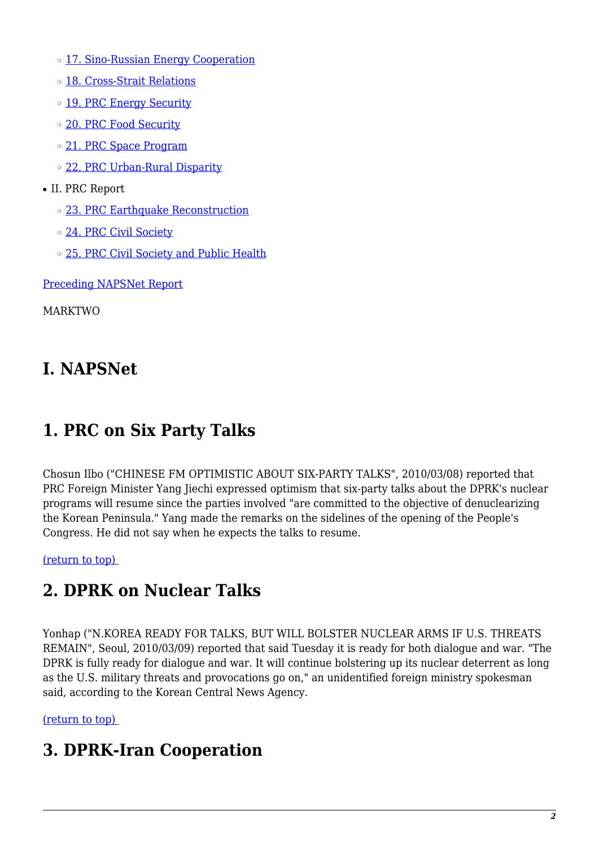- o [17. Sino-Russian Energy Cooperation](#page-5-2)
- ❍ [18. Cross-Strait Relations](#page-5-3)
- o [19. PRC Energy Security](#page-6-0)
- o [20. PRC Food Security](#page-6-1)
- o [21. PRC Space Program](#page-6-2)
- ❍ [22. PRC Urban-Rural Disparity](#page-6-3)
- II. PRC Report
	- ❍ [23. PRC Earthquake Reconstruction](#page-7-0)
	- o [24. PRC Civil Society](#page-7-1)
	- ❍ [25. PRC Civil Society and Public Health](#page-7-2)

[Preceding NAPSNet Report](https://nautilus.org/mailing-lists/napsnet/dr/2010-2/napsnet-daily-report-8-march-2010/)

MARKTWO

# **I. NAPSNet**

### <span id="page-1-0"></span>**1. PRC on Six Party Talks**

Chosun Ilbo ("CHINESE FM OPTIMISTIC ABOUT SIX-PARTY TALKS", 2010/03/08) reported that PRC Foreign Minister Yang Jiechi expressed optimism that six-party talks about the DPRK's nuclear programs will resume since the parties involved "are committed to the objective of denuclearizing the Korean Peninsula." Yang made the remarks on the sidelines of the opening of the People's Congress. He did not say when he expects the talks to resume.

<span id="page-1-1"></span>[\(return to top\)](#page-0-0) 

### **2. DPRK on Nuclear Talks**

Yonhap ("N.KOREA READY FOR TALKS, BUT WILL BOLSTER NUCLEAR ARMS IF U.S. THREATS REMAIN", Seoul, 2010/03/09) reported that said Tuesday it is ready for both dialogue and war. "The DPRK is fully ready for dialogue and war. It will continue bolstering up its nuclear deterrent as long as the U.S. military threats and provocations go on," an unidentified foreign ministry spokesman said, according to the Korean Central News Agency.

<span id="page-1-2"></span>[\(return to top\)](#page-0-0) 

#### **3. DPRK-Iran Cooperation**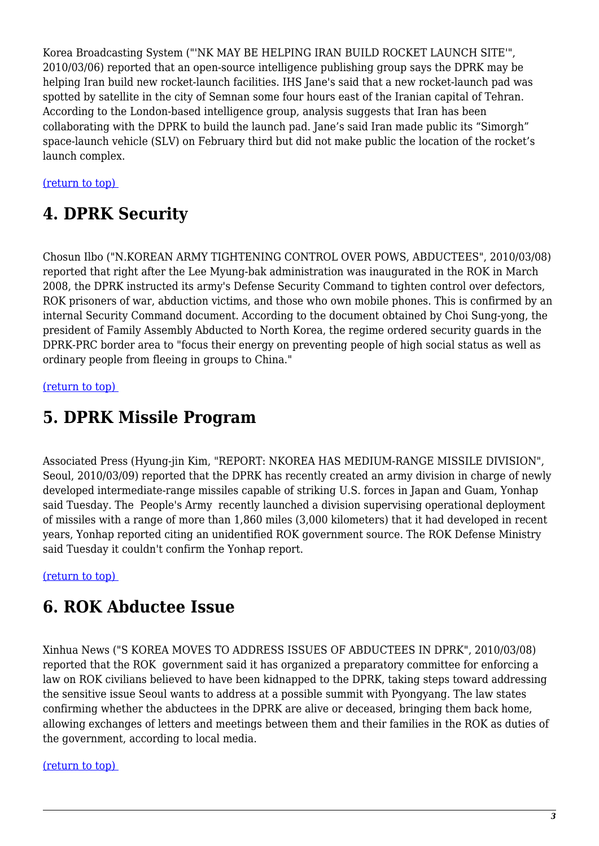Korea Broadcasting System ("'NK MAY BE HELPING IRAN BUILD ROCKET LAUNCH SITE'", 2010/03/06) reported that an open-source intelligence publishing group says the DPRK may be helping Iran build new rocket-launch facilities. IHS Jane's said that a new rocket-launch pad was spotted by satellite in the city of Semnan some four hours east of the Iranian capital of Tehran. According to the London-based intelligence group, analysis suggests that Iran has been collaborating with the DPRK to build the launch pad. Jane's said Iran made public its "Simorgh" space-launch vehicle (SLV) on February third but did not make public the location of the rocket's launch complex.

#### <span id="page-2-0"></span>[\(return to top\)](#page-0-0)

### **4. DPRK Security**

Chosun Ilbo ("N.KOREAN ARMY TIGHTENING CONTROL OVER POWS, ABDUCTEES", 2010/03/08) reported that right after the Lee Myung-bak administration was inaugurated in the ROK in March 2008, the DPRK instructed its army's Defense Security Command to tighten control over defectors, ROK prisoners of war, abduction victims, and those who own mobile phones. This is confirmed by an internal Security Command document. According to the document obtained by Choi Sung-yong, the president of Family Assembly Abducted to North Korea, the regime ordered security guards in the DPRK-PRC border area to "focus their energy on preventing people of high social status as well as ordinary people from fleeing in groups to China."

#### <span id="page-2-1"></span>[\(return to top\)](#page-0-0)

### **5. DPRK Missile Program**

Associated Press (Hyung-jin Kim, "REPORT: NKOREA HAS MEDIUM-RANGE MISSILE DIVISION", Seoul, 2010/03/09) reported that the DPRK has recently created an army division in charge of newly developed intermediate-range missiles capable of striking U.S. forces in Japan and Guam, Yonhap said Tuesday. The People's Army recently launched a division supervising operational deployment of missiles with a range of more than 1,860 miles (3,000 kilometers) that it had developed in recent years, Yonhap reported citing an unidentified ROK government source. The ROK Defense Ministry said Tuesday it couldn't confirm the Yonhap report.

#### <span id="page-2-2"></span>[\(return to top\)](#page-0-0)

#### **6. ROK Abductee Issue**

Xinhua News ("S KOREA MOVES TO ADDRESS ISSUES OF ABDUCTEES IN DPRK", 2010/03/08) reported that the ROK government said it has organized a preparatory committee for enforcing a law on ROK civilians believed to have been kidnapped to the DPRK, taking steps toward addressing the sensitive issue Seoul wants to address at a possible summit with Pyongyang. The law states confirming whether the abductees in the DPRK are alive or deceased, bringing them back home, allowing exchanges of letters and meetings between them and their families in the ROK as duties of the government, according to local media.

#### <span id="page-2-3"></span>[\(return to top\)](#page-0-0)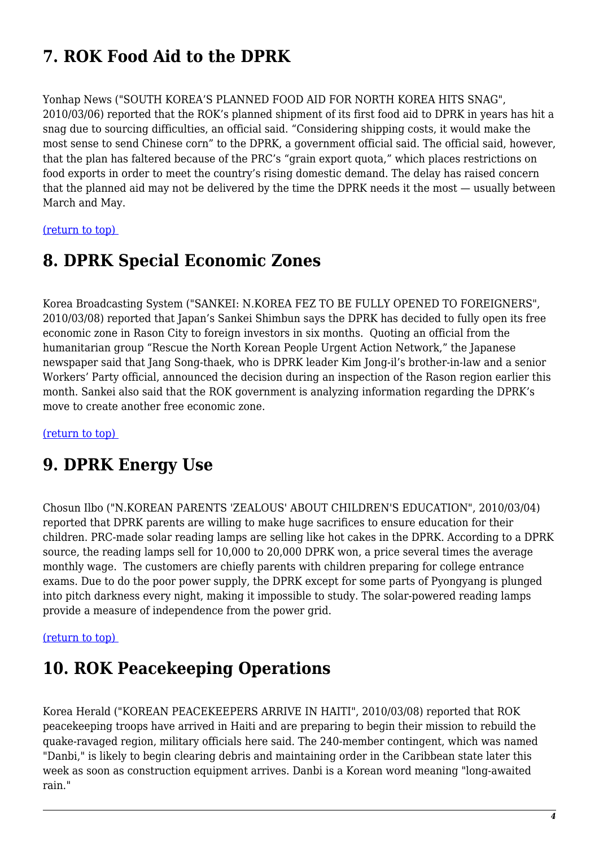# **7. ROK Food Aid to the DPRK**

Yonhap News ("SOUTH KOREA'S PLANNED FOOD AID FOR NORTH KOREA HITS SNAG", 2010/03/06) reported that the ROK's planned shipment of its first food aid to DPRK in years has hit a snag due to sourcing difficulties, an official said. "Considering shipping costs, it would make the most sense to send Chinese corn" to the DPRK, a government official said. The official said, however, that the plan has faltered because of the PRC's "grain export quota," which places restrictions on food exports in order to meet the country's rising domestic demand. The delay has raised concern that the planned aid may not be delivered by the time the DPRK needs it the most — usually between March and May.

<span id="page-3-0"></span>[\(return to top\)](#page-0-0) 

#### **8. DPRK Special Economic Zones**

Korea Broadcasting System ("SANKEI: N.KOREA FEZ TO BE FULLY OPENED TO FOREIGNERS", 2010/03/08) reported that Japan's Sankei Shimbun says the DPRK has decided to fully open its free economic zone in Rason City to foreign investors in six months. Quoting an official from the humanitarian group "Rescue the North Korean People Urgent Action Network," the Japanese newspaper said that Jang Song-thaek, who is DPRK leader Kim Jong-il's brother-in-law and a senior Workers' Party official, announced the decision during an inspection of the Rason region earlier this month. Sankei also said that the ROK government is analyzing information regarding the DPRK's move to create another free economic zone.

<span id="page-3-1"></span>[\(return to top\)](#page-0-0) 

#### **9. DPRK Energy Use**

Chosun Ilbo ("N.KOREAN PARENTS 'ZEALOUS' ABOUT CHILDREN'S EDUCATION", 2010/03/04) reported that DPRK parents are willing to make huge sacrifices to ensure education for their children. PRC-made solar reading lamps are selling like hot cakes in the DPRK. According to a DPRK source, the reading lamps sell for 10,000 to 20,000 DPRK won, a price several times the average monthly wage. The customers are chiefly parents with children preparing for college entrance exams. Due to do the poor power supply, the DPRK except for some parts of Pyongyang is plunged into pitch darkness every night, making it impossible to study. The solar-powered reading lamps provide a measure of independence from the power grid.

#### <span id="page-3-2"></span>[\(return to top\)](#page-0-0)

### **10. ROK Peacekeeping Operations**

<span id="page-3-3"></span>Korea Herald ("KOREAN PEACEKEEPERS ARRIVE IN HAITI", 2010/03/08) reported that ROK peacekeeping troops have arrived in Haiti and are preparing to begin their mission to rebuild the quake-ravaged region, military officials here said. The 240-member contingent, which was named "Danbi," is likely to begin clearing debris and maintaining order in the Caribbean state later this week as soon as construction equipment arrives. Danbi is a Korean word meaning "long-awaited rain."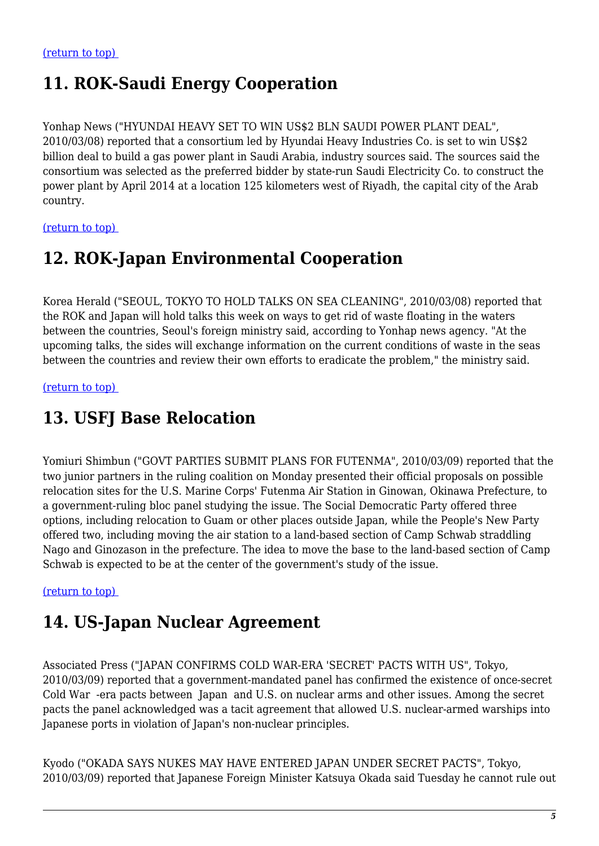### **11. ROK-Saudi Energy Cooperation**

Yonhap News ("HYUNDAI HEAVY SET TO WIN US\$2 BLN SAUDI POWER PLANT DEAL", 2010/03/08) reported that a consortium led by Hyundai Heavy Industries Co. is set to win US\$2 billion deal to build a gas power plant in Saudi Arabia, industry sources said. The sources said the consortium was selected as the preferred bidder by state-run Saudi Electricity Co. to construct the power plant by April 2014 at a location 125 kilometers west of Riyadh, the capital city of the Arab country.

<span id="page-4-0"></span>[\(return to top\)](#page-0-0) 

### **12. ROK-Japan Environmental Cooperation**

Korea Herald ("SEOUL, TOKYO TO HOLD TALKS ON SEA CLEANING", 2010/03/08) reported that the ROK and Japan will hold talks this week on ways to get rid of waste floating in the waters between the countries, Seoul's foreign ministry said, according to Yonhap news agency. "At the upcoming talks, the sides will exchange information on the current conditions of waste in the seas between the countries and review their own efforts to eradicate the problem," the ministry said.

<span id="page-4-1"></span>[\(return to top\)](#page-0-0) 

## **13. USFJ Base Relocation**

Yomiuri Shimbun ("GOVT PARTIES SUBMIT PLANS FOR FUTENMA", 2010/03/09) reported that the two junior partners in the ruling coalition on Monday presented their official proposals on possible relocation sites for the U.S. Marine Corps' Futenma Air Station in Ginowan, Okinawa Prefecture, to a government-ruling bloc panel studying the issue. The Social Democratic Party offered three options, including relocation to Guam or other places outside Japan, while the People's New Party offered two, including moving the air station to a land-based section of Camp Schwab straddling Nago and Ginozason in the prefecture. The idea to move the base to the land-based section of Camp Schwab is expected to be at the center of the government's study of the issue.

#### <span id="page-4-2"></span>[\(return to top\)](#page-0-0)

### **14. US-Japan Nuclear Agreement**

Associated Press ("JAPAN CONFIRMS COLD WAR-ERA 'SECRET' PACTS WITH US", Tokyo, 2010/03/09) reported that a government-mandated panel has confirmed the existence of once-secret Cold War -era pacts between Japan and U.S. on nuclear arms and other issues. Among the secret pacts the panel acknowledged was a tacit agreement that allowed U.S. nuclear-armed warships into Japanese ports in violation of Japan's non-nuclear principles.

Kyodo ("OKADA SAYS NUKES MAY HAVE ENTERED JAPAN UNDER SECRET PACTS", Tokyo, 2010/03/09) reported that Japanese Foreign Minister Katsuya Okada said Tuesday he cannot rule out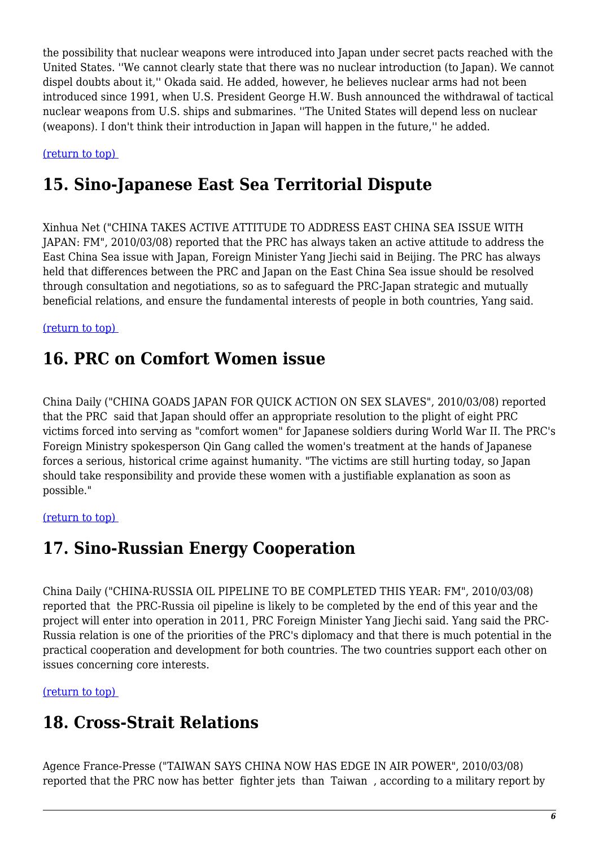the possibility that nuclear weapons were introduced into Japan under secret pacts reached with the United States. ''We cannot clearly state that there was no nuclear introduction (to Japan). We cannot dispel doubts about it,'' Okada said. He added, however, he believes nuclear arms had not been introduced since 1991, when U.S. President George H.W. Bush announced the withdrawal of tactical nuclear weapons from U.S. ships and submarines. ''The United States will depend less on nuclear (weapons). I don't think their introduction in Japan will happen in the future,'' he added.

<span id="page-5-0"></span>[\(return to top\)](#page-0-0) 

## **15. Sino-Japanese East Sea Territorial Dispute**

Xinhua Net ("CHINA TAKES ACTIVE ATTITUDE TO ADDRESS EAST CHINA SEA ISSUE WITH JAPAN: FM", 2010/03/08) reported that the PRC has always taken an active attitude to address the East China Sea issue with Japan, Foreign Minister Yang Jiechi said in Beijing. The PRC has always held that differences between the PRC and Japan on the East China Sea issue should be resolved through consultation and negotiations, so as to safeguard the PRC-Japan strategic and mutually beneficial relations, and ensure the fundamental interests of people in both countries, Yang said.

<span id="page-5-1"></span>[\(return to top\)](#page-0-0) 

#### **16. PRC on Comfort Women issue**

China Daily ("CHINA GOADS JAPAN FOR QUICK ACTION ON SEX SLAVES", 2010/03/08) reported that the PRC said that Japan should offer an appropriate resolution to the plight of eight PRC victims forced into serving as "comfort women" for Japanese soldiers during World War II. The PRC's Foreign Ministry spokesperson Qin Gang called the women's treatment at the hands of Japanese forces a serious, historical crime against humanity. "The victims are still hurting today, so Japan should take responsibility and provide these women with a justifiable explanation as soon as possible."

#### <span id="page-5-2"></span>[\(return to top\)](#page-0-0)

### **17. Sino-Russian Energy Cooperation**

China Daily ("CHINA-RUSSIA OIL PIPELINE TO BE COMPLETED THIS YEAR: FM", 2010/03/08) reported that the PRC-Russia oil pipeline is likely to be completed by the end of this year and the project will enter into operation in 2011, PRC Foreign Minister Yang Jiechi said. Yang said the PRC-Russia relation is one of the priorities of the PRC's diplomacy and that there is much potential in the practical cooperation and development for both countries. The two countries support each other on issues concerning core interests.

<span id="page-5-3"></span>[\(return to top\)](#page-0-0) 

### **18. Cross-Strait Relations**

Agence France-Presse ("TAIWAN SAYS CHINA NOW HAS EDGE IN AIR POWER", 2010/03/08) reported that the PRC now has better fighter jets than Taiwan , according to a military report by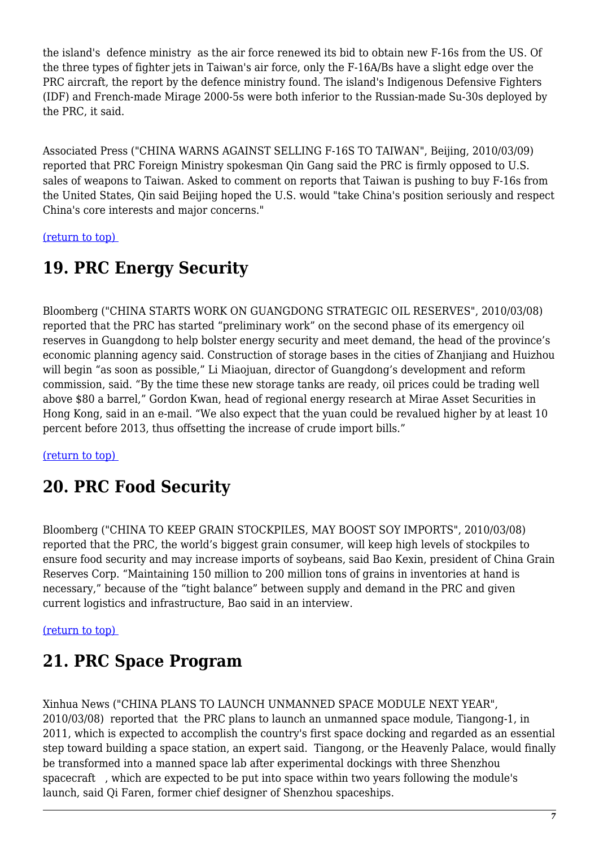the island's defence ministry as the air force renewed its bid to obtain new F-16s from the US. Of the three types of fighter jets in Taiwan's air force, only the F-16A/Bs have a slight edge over the PRC aircraft, the report by the defence ministry found. The island's Indigenous Defensive Fighters (IDF) and French-made Mirage 2000-5s were both inferior to the Russian-made Su-30s deployed by the PRC, it said.

Associated Press ("CHINA WARNS AGAINST SELLING F-16S TO TAIWAN", Beijing, 2010/03/09) reported that PRC Foreign Ministry spokesman Qin Gang said the PRC is firmly opposed to U.S. sales of weapons to Taiwan. Asked to comment on reports that Taiwan is pushing to buy F-16s from the United States, Qin said Beijing hoped the U.S. would "take China's position seriously and respect China's core interests and major concerns."

<span id="page-6-0"></span>[\(return to top\)](#page-0-0) 

# **19. PRC Energy Security**

Bloomberg ("CHINA STARTS WORK ON GUANGDONG STRATEGIC OIL RESERVES", 2010/03/08) reported that the PRC has started "preliminary work" on the second phase of its emergency oil reserves in Guangdong to help bolster energy security and meet demand, the head of the province's economic planning agency said. Construction of storage bases in the cities of Zhanjiang and Huizhou will begin "as soon as possible," Li Miaojuan, director of Guangdong's development and reform commission, said. "By the time these new storage tanks are ready, oil prices could be trading well above \$80 a barrel," Gordon Kwan, head of regional energy research at Mirae Asset Securities in Hong Kong, said in an e-mail. "We also expect that the yuan could be revalued higher by at least 10 percent before 2013, thus offsetting the increase of crude import bills."

<span id="page-6-1"></span>[\(return to top\)](#page-0-0) 

# **20. PRC Food Security**

Bloomberg ("CHINA TO KEEP GRAIN STOCKPILES, MAY BOOST SOY IMPORTS", 2010/03/08) reported that the PRC, the world's biggest grain consumer, will keep high levels of stockpiles to ensure food security and may increase imports of soybeans, said Bao Kexin, president of China Grain Reserves Corp. "Maintaining 150 million to 200 million tons of grains in inventories at hand is necessary," because of the "tight balance" between supply and demand in the PRC and given current logistics and infrastructure, Bao said in an interview.

#### <span id="page-6-2"></span>[\(return to top\)](#page-0-0)

# **21. PRC Space Program**

<span id="page-6-3"></span>Xinhua News ("CHINA PLANS TO LAUNCH UNMANNED SPACE MODULE NEXT YEAR", 2010/03/08) reported that the PRC plans to launch an unmanned space module, Tiangong-1, in 2011, which is expected to accomplish the country's first space docking and regarded as an essential step toward building a space station, an expert said. Tiangong, or the Heavenly Palace, would finally be transformed into a manned space lab after experimental dockings with three Shenzhou spacecraft , which are expected to be put into space within two years following the module's launch, said Qi Faren, former chief designer of Shenzhou spaceships.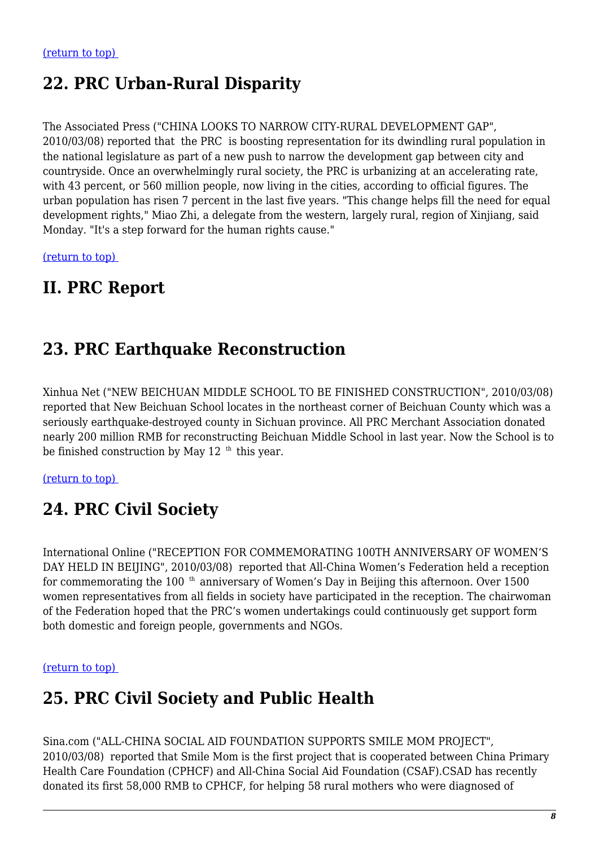### **22. PRC Urban-Rural Disparity**

The Associated Press ("CHINA LOOKS TO NARROW CITY-RURAL DEVELOPMENT GAP", 2010/03/08) reported that the PRC is boosting representation for its dwindling rural population in the national legislature as part of a new push to narrow the development gap between city and countryside. Once an overwhelmingly rural society, the PRC is urbanizing at an accelerating rate, with 43 percent, or 560 million people, now living in the cities, according to official figures. The urban population has risen 7 percent in the last five years. "This change helps fill the need for equal development rights," Miao Zhi, a delegate from the western, largely rural, region of Xinjiang, said Monday. "It's a step forward for the human rights cause."

[\(return to top\)](#page-0-0) 

#### **II. PRC Report**

### <span id="page-7-0"></span>**23. PRC Earthquake Reconstruction**

Xinhua Net ("NEW BEICHUAN MIDDLE SCHOOL TO BE FINISHED CONSTRUCTION", 2010/03/08) reported that New Beichuan School locates in the northeast corner of Beichuan County which was a seriously earthquake-destroyed county in Sichuan province. All PRC Merchant Association donated nearly 200 million RMB for reconstructing Beichuan Middle School in last year. Now the School is to be finished construction by May  $12$ <sup>th</sup> this year.

<span id="page-7-1"></span>[\(return to top\)](#page-0-0) 

### **24. PRC Civil Society**

International Online ("RECEPTION FOR COMMEMORATING 100TH ANNIVERSARY OF WOMEN'S DAY HELD IN BEIJING", 2010/03/08) reported that All-China Women's Federation held a reception for commemorating the 100<sup>th</sup> anniversary of Women's Day in Beijing this afternoon. Over 1500 women representatives from all fields in society have participated in the reception. The chairwoman of the Federation hoped that the PRC's women undertakings could continuously get support form both domestic and foreign people, governments and NGOs.

#### <span id="page-7-2"></span>[\(return to top\)](#page-0-0)

#### **25. PRC Civil Society and Public Health**

Sina.com ("ALL-CHINA SOCIAL AID FOUNDATION SUPPORTS SMILE MOM PROJECT", 2010/03/08) reported that Smile Mom is the first project that is cooperated between China Primary Health Care Foundation (CPHCF) and All-China Social Aid Foundation (CSAF).CSAD has recently donated its first 58,000 RMB to CPHCF, for helping 58 rural mothers who were diagnosed of